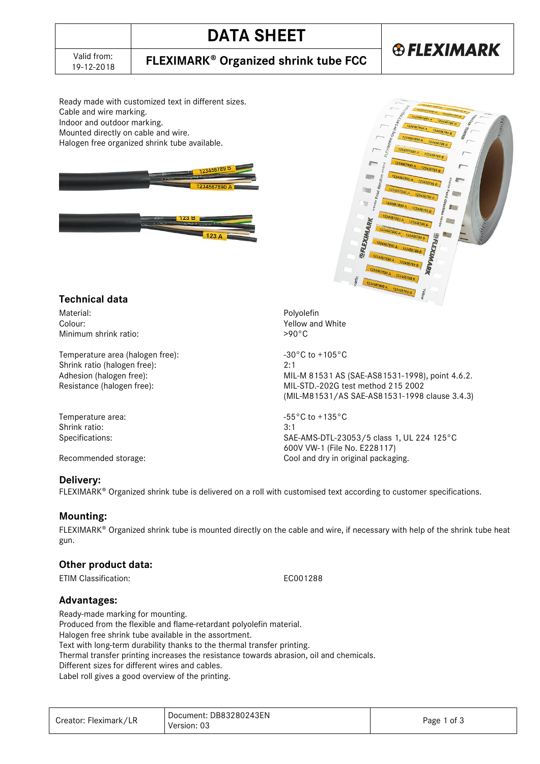# **DATA SHEET**

## **FLEXIMARK<sup>®</sup> Organized shrink tube FCC**

# **®FLEXIMARK**

Ready made with customized text in different sizes. Cable and wire marking. Indoor and outdoor marking. Mounted directly on cable and wire. Halogen free organized shrink tube available.





### **Technical data**

Material: Express and the control of the control of the control of the control of the control of the control of the control of the control of the control of the control of the control of the control of the control of the c Minimum shrink ratio:

Temperature area (halogen free):  $-30^{\circ}$ C to +105°C Shrink ratio (halogen free): 2:1

Temperature area:  $-55^{\circ}$ C to +135°C Shrink ratio: 3:1

#### **Delivery:**

FLEXIMARK<sup>®</sup> Organized shrink tube is delivered on a roll with customised text according to customer specifications.

#### **Mounting:**

 $FLEXIMARK<sup>®</sup> Organized shrink tube is mounted directly on the cable and wire, if necessary with help of the shrink tube heat$ gun.

#### **Other product data:**

ETIM Classification: EC001288

**Advantages:** 

Ready-made marking for mounting.

Produced from the flexible and flame-retardant polyolefin material.

Halogen free shrink tube available in the assortment.

Text with long-term durability thanks to the thermal transfer printing.

Thermal transfer printing increases the resistance towards abrasion, oil and chemicals.

Different sizes for different wires and cables.

Label roll gives a good overview of the printing.

| Creator: Fleximark/LR | Document: DB83280243EN<br>Version: 03 | Page 1 of 3 |
|-----------------------|---------------------------------------|-------------|
|-----------------------|---------------------------------------|-------------|

Yellow and White<br> $>90^{\circ}$ C

Adhesion (halogen free): MIL-M 81531 AS (SAE-AS81531-1998), point 4.6.2. Resistance (halogen free): MIL-STD.-202G test method 215 2002 (MIL-M81531/AS SAE-AS81531-1998 clause 3.4.3)

Specifications: SAE-AMS-DTL-23053/5 class 1, UL 224 125°C 600V VW-1 (File No. E228117) Recommended storage: Cool and dry in original packaging.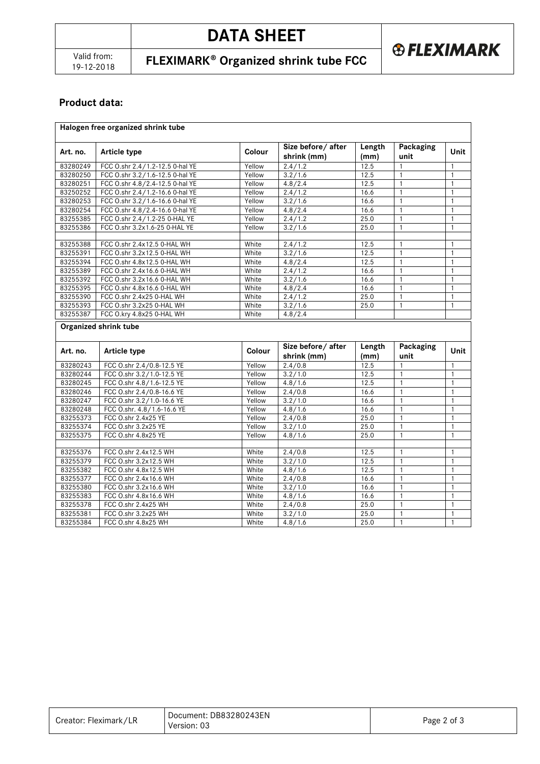19-12-2018 **FLEXIMARK Organized shrink tube FCC**

### **Product data:**

| Halogen free organized shrink tube |                                 |        |                                  |                |                   |              |  |  |
|------------------------------------|---------------------------------|--------|----------------------------------|----------------|-------------------|--------------|--|--|
| Art. no.                           | <b>Article type</b>             | Colour | Size before/after<br>shrink (mm) | Length<br>(mm) | Packaging<br>unit | Unit         |  |  |
| 83280249                           | FCC O.shr 2.4/1.2-12.5 0-hal YE | Yellow | 2.4/1.2                          | 12.5           | 1                 | $\mathbf{1}$ |  |  |
| 83280250                           | FCC O.shr 3.2/1.6-12.5 0-hal YE | Yellow | 3.2/1.6                          | 12.5           | $\mathbf{1}$      | $\mathbf{1}$ |  |  |
| 83280251                           | FCC O.shr 4.8/2.4-12.5 0-hal YE | Yellow | 4.8/2.4                          | 12.5           | $\mathbf{1}$      | $\mathbf{1}$ |  |  |
| 83250252                           | FCC O.shr 2.4/1.2-16.6 0-hal YE | Yellow | 2.4/1.2                          | 16.6           | $\mathbf{1}$      | $\mathbf{1}$ |  |  |
| 83280253                           | FCC O.shr 3.2/1.6-16.6 0-hal YE | Yellow | 3.2/1.6                          | 16.6           | $\mathbf{1}$      | $\mathbf{1}$ |  |  |
| 83280254                           | FCC O.shr 4.8/2.4-16.6 0-hal YE | Yellow | 4.8/2.4                          | 16.6           | $\mathbf{1}$      | $\mathbf{1}$ |  |  |
| 83255385                           | FCC O.shr 2.4/1.2-25 0-HAL YE   | Yellow | 2.4/1.2                          | 25.0           | $\mathbf{1}$      | $\mathbf{1}$ |  |  |
| 83255386                           | FCC O.shr 3.2x1.6-25 0-HAL YE   | Yellow | 3.2/1.6                          | 25.0           | $\mathbf{1}$      | $\mathbf{1}$ |  |  |
| 83255388                           | FCC O.shr 2.4x12.5 0-HAL WH     | White  | 2.4/1.2                          | 12.5           | $\mathbf{1}$      | $\mathbf{1}$ |  |  |
| 83255391                           | FCC O.shr 3.2x12.5 0-HAL WH     | White  | 3.2/1.6                          | 12.5           | $\mathbf{1}$      | $\mathbf{1}$ |  |  |
| 83255394                           | FCC O.shr 4.8x12.5 0-HAL WH     | White  | 4.8/2.4                          | 12.5           | $\mathbf{1}$      | $\mathbf{1}$ |  |  |
| 83255389                           | FCC O.shr 2.4x16.6 0-HAL WH     | White  | 2.4/1.2                          | 16.6           | $\mathbf{1}$      | $\mathbf{1}$ |  |  |
| 83255392                           | FCC 0.shr 3.2x16.6 0-HAL WH     | White  | 3.2/1.6                          | 16.6           | $\mathbf{1}$      | $\mathbf{1}$ |  |  |
| 83255395                           | FCC O.shr 4.8x16.6 0-HAL WH     | White  | 4.8/2.4                          | 16.6           | $\mathbf{1}$      | $\mathbf{1}$ |  |  |
| 83255390                           | FCC O.shr 2.4x25 0-HAL WH       | White  | 2.4/1.2                          | 25.0           | $\mathbf{1}$      | $\mathbf{1}$ |  |  |
| 83255393                           | FCC O.shr 3.2x25 0-HAL WH       | White  | 3.2/1.6                          | 25.0           | $\mathbf{1}$      | $\mathbf{1}$ |  |  |
| 83255387                           | FCC O.kry 4.8x25 0-HAL WH       | White  | 4.8/2.4                          |                |                   |              |  |  |
|                                    | Organized shrink tube           |        |                                  |                |                   |              |  |  |
| Art. no.                           | Article type                    | Colour | Size before/after<br>shrink (mm) | Length<br>(mm) | Packaging<br>unit | Unit         |  |  |
| 83280243                           | FCC O.shr 2.4/0.8-12.5 YE       | Yellow | 2.4/0.8                          | 12.5           | 1                 | $\mathbf{1}$ |  |  |
| 83280244                           | FCC O.shr 3.2/1.0-12.5 YE       | Yellow | 3.2/1.0                          | 12.5           | $\mathbf{1}$      | $\mathbf{1}$ |  |  |
| 83280245                           | FCC O.shr 4.8/1.6-12.5 YE       | Yellow | 4.8/1.6                          | 12.5           | $\mathbf{1}$      | $\mathbf{1}$ |  |  |
| 83280246                           | FCC O.shr 2.4/0.8-16.6 YE       | Yellow | 2.4/0.8                          | 16.6           | $\mathbf{1}$      | $\mathbf{1}$ |  |  |
| 83280247                           | FCC O.shr 3.2/1.0-16.6 YE       | Yellow | 3.2/1.0                          | 16.6           | $\mathbf{1}$      | $\mathbf{1}$ |  |  |
| 83280248                           | FCC O.shr. 4.8/1.6-16.6 YE      | Yellow | 4.8/1.6                          | 16.6           | $\mathbf{1}$      | $\mathbf{1}$ |  |  |
| 83255373                           | FCC O.shr 2.4x25 YE             | Yellow | 2.4/0.8                          | 25.0           | $\mathbf{1}$      | $\mathbf{1}$ |  |  |
| 83255374                           | FCC O.shr 3.2x25 YE             | Yellow | 3.2/1.0                          | 25.0           | $\mathbf{1}$      | $\mathbf{1}$ |  |  |
| 83255375                           | FCC O.shr 4.8x25 YE             | Yellow | 4.8/1.6                          | 25.0           | $\mathbf{1}$      | $\mathbf{1}$ |  |  |
| 83255376                           | FCC O.shr 2.4x12.5 WH           | White  | 2.4/0.8                          | 12.5           | $\mathbf{1}$      | $\mathbf{1}$ |  |  |
| 83255379                           | FCC O.shr 3.2x12.5 WH           | White  | 3.2 / 1.0                        | 12.5           | $\mathbf{1}$      | $\mathbf{1}$ |  |  |
| 83255382                           | FCC O.shr 4.8x12.5 WH           | White  | 4.8/1.6                          | 12.5           | $\mathbf{1}$      | $\mathbf{1}$ |  |  |
| 83255377                           | FCC O.shr 2.4x16.6 WH           | White  | 2.4/0.8                          | 16.6           | $\mathbf{1}$      | $\mathbf{1}$ |  |  |
| 83255380                           | FCC O.shr 3.2x16.6 WH           | White  | 3.2/1.0                          | 16.6           | $\mathbf{1}$      | $\mathbf{1}$ |  |  |
| 83255383                           |                                 | White  |                                  | 16.6           | $\mathbf{1}$      | $\mathbf{1}$ |  |  |
|                                    | FCC O.shr 4.8x16.6 WH           |        | 4.8/1.6                          |                |                   |              |  |  |
| 83255378                           | FCC O.shr 2.4x25 WH             | White  | 2.4/0.8                          | 25.0           | $\mathbf{1}$      | $\mathbf{1}$ |  |  |
| 83255381                           | FCC O.shr 3.2x25 WH             | White  | 3.2/1.0                          | 25.0           | $\mathbf{1}$      | $\mathbf{1}$ |  |  |